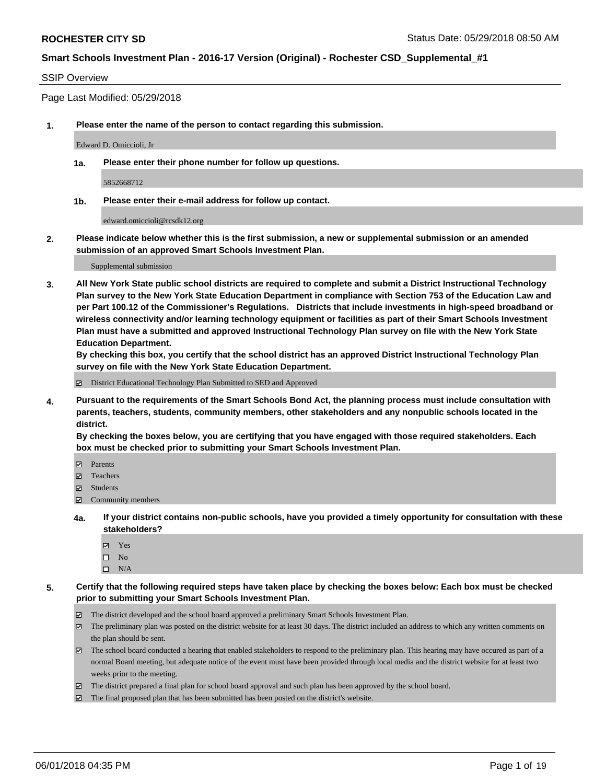#### SSIP Overview

Page Last Modified: 05/29/2018

**1. Please enter the name of the person to contact regarding this submission.**

Edward D. Omiccioli, Jr

**1a. Please enter their phone number for follow up questions.**

5852668712

**1b. Please enter their e-mail address for follow up contact.**

edward.omiccioli@rcsdk12.org

**2. Please indicate below whether this is the first submission, a new or supplemental submission or an amended submission of an approved Smart Schools Investment Plan.**

Supplemental submission

**3. All New York State public school districts are required to complete and submit a District Instructional Technology Plan survey to the New York State Education Department in compliance with Section 753 of the Education Law and per Part 100.12 of the Commissioner's Regulations. Districts that include investments in high-speed broadband or wireless connectivity and/or learning technology equipment or facilities as part of their Smart Schools Investment Plan must have a submitted and approved Instructional Technology Plan survey on file with the New York State Education Department.** 

**By checking this box, you certify that the school district has an approved District Instructional Technology Plan survey on file with the New York State Education Department.**

District Educational Technology Plan Submitted to SED and Approved

**4. Pursuant to the requirements of the Smart Schools Bond Act, the planning process must include consultation with parents, teachers, students, community members, other stakeholders and any nonpublic schools located in the district.** 

**By checking the boxes below, you are certifying that you have engaged with those required stakeholders. Each box must be checked prior to submitting your Smart Schools Investment Plan.**

- Parents
- Teachers
- Students
- $\Xi$  Community members
- **4a. If your district contains non-public schools, have you provided a timely opportunity for consultation with these stakeholders?**
	- Yes
	- $\square$  No
	- $\square$  N/A
- **5. Certify that the following required steps have taken place by checking the boxes below: Each box must be checked prior to submitting your Smart Schools Investment Plan.**
	- The district developed and the school board approved a preliminary Smart Schools Investment Plan.
	- $\boxtimes$  The preliminary plan was posted on the district website for at least 30 days. The district included an address to which any written comments on the plan should be sent.
	- $\boxtimes$  The school board conducted a hearing that enabled stakeholders to respond to the preliminary plan. This hearing may have occured as part of a normal Board meeting, but adequate notice of the event must have been provided through local media and the district website for at least two weeks prior to the meeting.
	- The district prepared a final plan for school board approval and such plan has been approved by the school board.
	- $\boxtimes$  The final proposed plan that has been submitted has been posted on the district's website.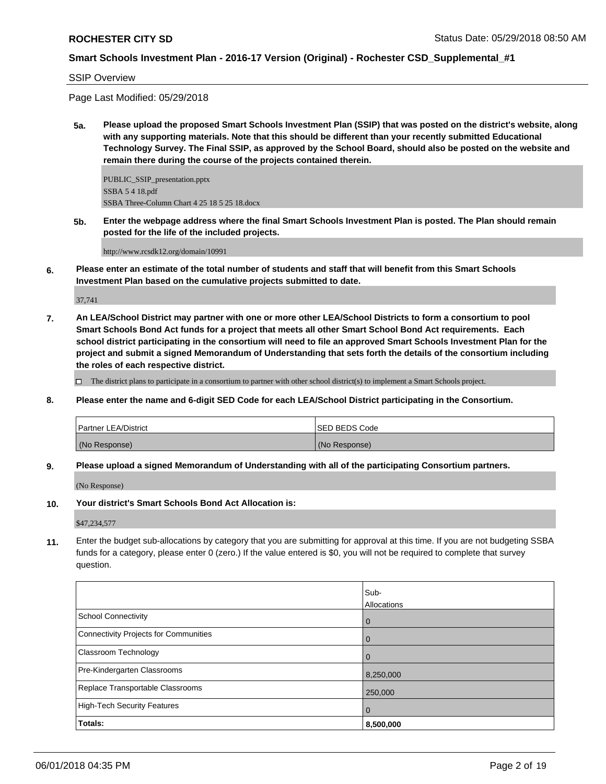SSIP Overview

Page Last Modified: 05/29/2018

**5a. Please upload the proposed Smart Schools Investment Plan (SSIP) that was posted on the district's website, along with any supporting materials. Note that this should be different than your recently submitted Educational Technology Survey. The Final SSIP, as approved by the School Board, should also be posted on the website and remain there during the course of the projects contained therein.**

PUBLIC\_SSIP\_presentation.pptx SSBA 5 4 18.pdf SSBA Three-Column Chart 4 25 18 5 25 18.docx

**5b. Enter the webpage address where the final Smart Schools Investment Plan is posted. The Plan should remain posted for the life of the included projects.**

http://www.rcsdk12.org/domain/10991

**6. Please enter an estimate of the total number of students and staff that will benefit from this Smart Schools Investment Plan based on the cumulative projects submitted to date.**

37,741

**7. An LEA/School District may partner with one or more other LEA/School Districts to form a consortium to pool Smart Schools Bond Act funds for a project that meets all other Smart School Bond Act requirements. Each school district participating in the consortium will need to file an approved Smart Schools Investment Plan for the project and submit a signed Memorandum of Understanding that sets forth the details of the consortium including the roles of each respective district.**

 $\Box$  The district plans to participate in a consortium to partner with other school district(s) to implement a Smart Schools project.

**8. Please enter the name and 6-digit SED Code for each LEA/School District participating in the Consortium.**

| <b>Partner LEA/District</b> | <b>ISED BEDS Code</b> |
|-----------------------------|-----------------------|
| (No Response)               | (No Response)         |

**9. Please upload a signed Memorandum of Understanding with all of the participating Consortium partners.**

(No Response)

**10. Your district's Smart Schools Bond Act Allocation is:**

\$47,234,577

**11.** Enter the budget sub-allocations by category that you are submitting for approval at this time. If you are not budgeting SSBA funds for a category, please enter 0 (zero.) If the value entered is \$0, you will not be required to complete that survey question.

|                                              | Sub-<br>Allocations |
|----------------------------------------------|---------------------|
| <b>School Connectivity</b>                   | 0                   |
| <b>Connectivity Projects for Communities</b> | O                   |
| Classroom Technology                         | 0                   |
| Pre-Kindergarten Classrooms                  | 8,250,000           |
| Replace Transportable Classrooms             | 250,000             |
| <b>High-Tech Security Features</b>           | 0                   |
| Totals:                                      | 8,500,000           |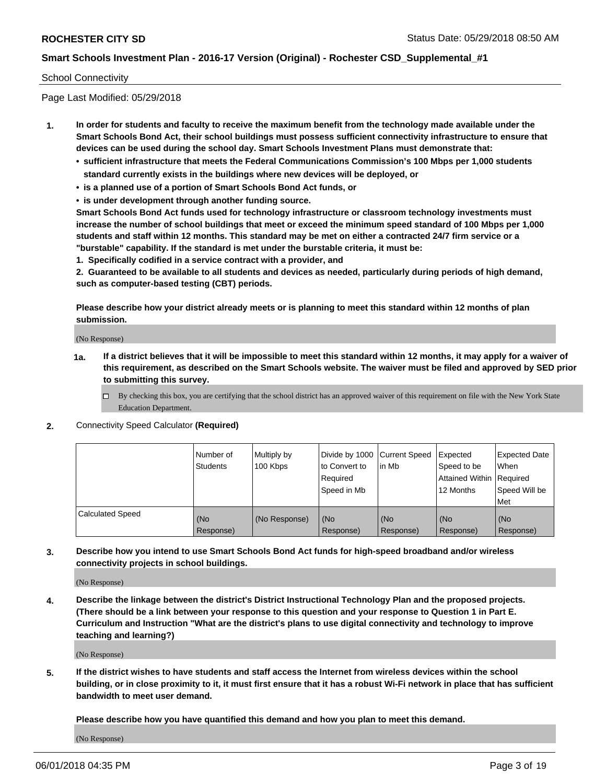#### School Connectivity

Page Last Modified: 05/29/2018

- **1. In order for students and faculty to receive the maximum benefit from the technology made available under the Smart Schools Bond Act, their school buildings must possess sufficient connectivity infrastructure to ensure that devices can be used during the school day. Smart Schools Investment Plans must demonstrate that:**
	- **• sufficient infrastructure that meets the Federal Communications Commission's 100 Mbps per 1,000 students standard currently exists in the buildings where new devices will be deployed, or**
	- **• is a planned use of a portion of Smart Schools Bond Act funds, or**
	- **• is under development through another funding source.**

**Smart Schools Bond Act funds used for technology infrastructure or classroom technology investments must increase the number of school buildings that meet or exceed the minimum speed standard of 100 Mbps per 1,000 students and staff within 12 months. This standard may be met on either a contracted 24/7 firm service or a "burstable" capability. If the standard is met under the burstable criteria, it must be:**

**1. Specifically codified in a service contract with a provider, and**

**2. Guaranteed to be available to all students and devices as needed, particularly during periods of high demand, such as computer-based testing (CBT) periods.**

**Please describe how your district already meets or is planning to meet this standard within 12 months of plan submission.**

(No Response)

- **1a. If a district believes that it will be impossible to meet this standard within 12 months, it may apply for a waiver of this requirement, as described on the Smart Schools website. The waiver must be filed and approved by SED prior to submitting this survey.**
	- By checking this box, you are certifying that the school district has an approved waiver of this requirement on file with the New York State Education Department.
- **2.** Connectivity Speed Calculator **(Required)**

|                         | l Number of<br><b>Students</b> | Multiply by<br>100 Kbps | Divide by 1000 Current Speed<br>to Convert to<br>Required<br>l Speed in Mb | lin Mb           | Expected<br>Speed to be<br>Attained Within Required<br>12 Months | <b>Expected Date</b><br><b>When</b><br>Speed Will be<br>l Met |
|-------------------------|--------------------------------|-------------------------|----------------------------------------------------------------------------|------------------|------------------------------------------------------------------|---------------------------------------------------------------|
| <b>Calculated Speed</b> | (No<br>Response)               | (No Response)           | (No<br>Response)                                                           | (No<br>Response) | (No<br>Response)                                                 | l (No<br>Response)                                            |

**3. Describe how you intend to use Smart Schools Bond Act funds for high-speed broadband and/or wireless connectivity projects in school buildings.**

(No Response)

**4. Describe the linkage between the district's District Instructional Technology Plan and the proposed projects. (There should be a link between your response to this question and your response to Question 1 in Part E. Curriculum and Instruction "What are the district's plans to use digital connectivity and technology to improve teaching and learning?)**

(No Response)

**5. If the district wishes to have students and staff access the Internet from wireless devices within the school building, or in close proximity to it, it must first ensure that it has a robust Wi-Fi network in place that has sufficient bandwidth to meet user demand.**

**Please describe how you have quantified this demand and how you plan to meet this demand.**

(No Response)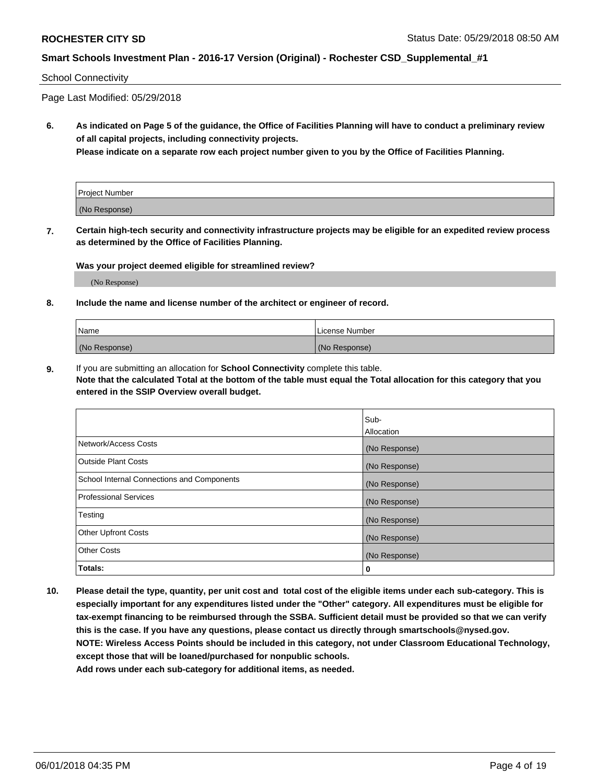#### School Connectivity

Page Last Modified: 05/29/2018

**6. As indicated on Page 5 of the guidance, the Office of Facilities Planning will have to conduct a preliminary review of all capital projects, including connectivity projects.**

**Please indicate on a separate row each project number given to you by the Office of Facilities Planning.**

| Project Number |  |
|----------------|--|
| (No Response)  |  |

**7. Certain high-tech security and connectivity infrastructure projects may be eligible for an expedited review process as determined by the Office of Facilities Planning.**

#### **Was your project deemed eligible for streamlined review?**

(No Response)

#### **8. Include the name and license number of the architect or engineer of record.**

| Name          | License Number |
|---------------|----------------|
| (No Response) | (No Response)  |

**9.** If you are submitting an allocation for **School Connectivity** complete this table.

**Note that the calculated Total at the bottom of the table must equal the Total allocation for this category that you entered in the SSIP Overview overall budget.** 

|                                            | Sub-          |
|--------------------------------------------|---------------|
|                                            | Allocation    |
| Network/Access Costs                       | (No Response) |
| <b>Outside Plant Costs</b>                 | (No Response) |
| School Internal Connections and Components | (No Response) |
| Professional Services                      | (No Response) |
| Testing                                    | (No Response) |
| <b>Other Upfront Costs</b>                 | (No Response) |
| <b>Other Costs</b>                         | (No Response) |
| Totals:                                    | 0             |

**10. Please detail the type, quantity, per unit cost and total cost of the eligible items under each sub-category. This is especially important for any expenditures listed under the "Other" category. All expenditures must be eligible for tax-exempt financing to be reimbursed through the SSBA. Sufficient detail must be provided so that we can verify this is the case. If you have any questions, please contact us directly through smartschools@nysed.gov. NOTE: Wireless Access Points should be included in this category, not under Classroom Educational Technology, except those that will be loaned/purchased for nonpublic schools.**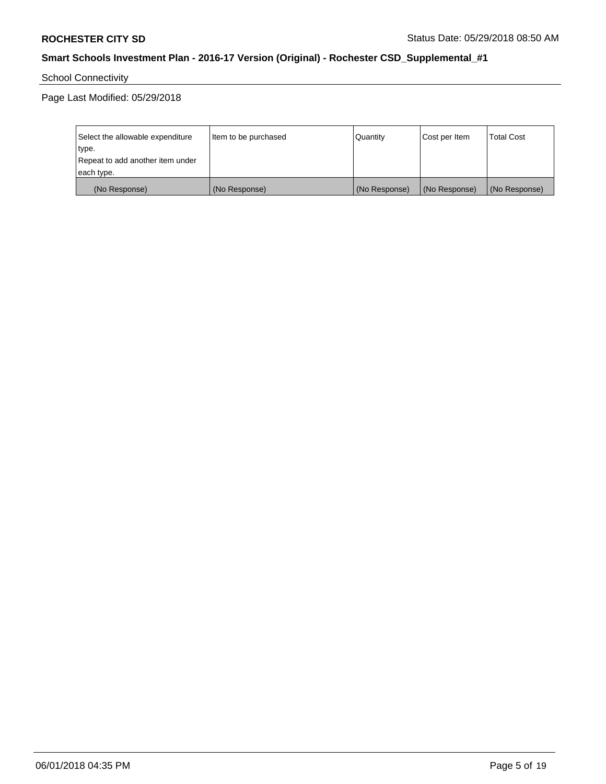School Connectivity

| Select the allowable expenditure | Item to be purchased | Quantity      | Cost per Item | <b>Total Cost</b> |
|----------------------------------|----------------------|---------------|---------------|-------------------|
| type.                            |                      |               |               |                   |
| Repeat to add another item under |                      |               |               |                   |
| each type.                       |                      |               |               |                   |
| (No Response)                    | (No Response)        | (No Response) | (No Response) | (No Response)     |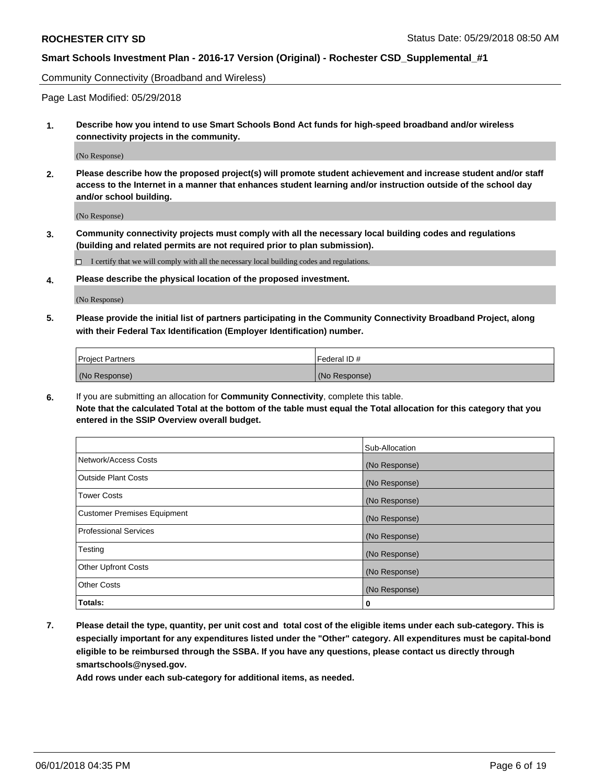Community Connectivity (Broadband and Wireless)

Page Last Modified: 05/29/2018

**1. Describe how you intend to use Smart Schools Bond Act funds for high-speed broadband and/or wireless connectivity projects in the community.**

(No Response)

**2. Please describe how the proposed project(s) will promote student achievement and increase student and/or staff access to the Internet in a manner that enhances student learning and/or instruction outside of the school day and/or school building.**

(No Response)

**3. Community connectivity projects must comply with all the necessary local building codes and regulations (building and related permits are not required prior to plan submission).**

 $\Box$  I certify that we will comply with all the necessary local building codes and regulations.

**4. Please describe the physical location of the proposed investment.**

(No Response)

**5. Please provide the initial list of partners participating in the Community Connectivity Broadband Project, along with their Federal Tax Identification (Employer Identification) number.**

| <b>Project Partners</b> | l Federal ID # |
|-------------------------|----------------|
| (No Response)           | (No Response)  |

**6.** If you are submitting an allocation for **Community Connectivity**, complete this table. **Note that the calculated Total at the bottom of the table must equal the Total allocation for this category that you entered in the SSIP Overview overall budget.**

|                                    | Sub-Allocation |
|------------------------------------|----------------|
| Network/Access Costs               | (No Response)  |
| Outside Plant Costs                | (No Response)  |
| <b>Tower Costs</b>                 | (No Response)  |
| <b>Customer Premises Equipment</b> | (No Response)  |
| <b>Professional Services</b>       | (No Response)  |
| Testing                            | (No Response)  |
| <b>Other Upfront Costs</b>         | (No Response)  |
| <b>Other Costs</b>                 | (No Response)  |
| Totals:                            | 0              |

**7. Please detail the type, quantity, per unit cost and total cost of the eligible items under each sub-category. This is especially important for any expenditures listed under the "Other" category. All expenditures must be capital-bond eligible to be reimbursed through the SSBA. If you have any questions, please contact us directly through smartschools@nysed.gov.**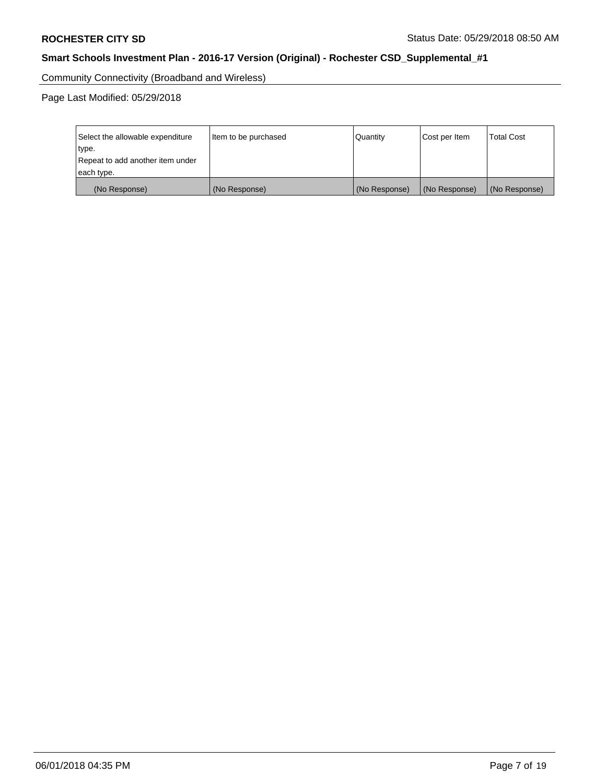Community Connectivity (Broadband and Wireless)

| Select the allowable expenditure<br>type.<br>Repeat to add another item under | Item to be purchased | Quantity      | Cost per Item | <b>Total Cost</b> |
|-------------------------------------------------------------------------------|----------------------|---------------|---------------|-------------------|
| each type.                                                                    |                      |               |               |                   |
| (No Response)                                                                 | (No Response)        | (No Response) | (No Response) | (No Response)     |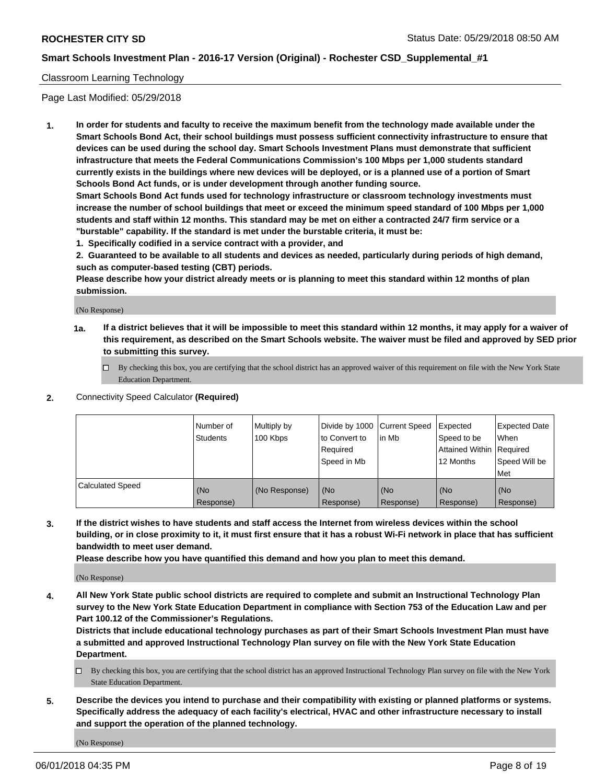#### Classroom Learning Technology

Page Last Modified: 05/29/2018

**1. In order for students and faculty to receive the maximum benefit from the technology made available under the Smart Schools Bond Act, their school buildings must possess sufficient connectivity infrastructure to ensure that devices can be used during the school day. Smart Schools Investment Plans must demonstrate that sufficient infrastructure that meets the Federal Communications Commission's 100 Mbps per 1,000 students standard currently exists in the buildings where new devices will be deployed, or is a planned use of a portion of Smart Schools Bond Act funds, or is under development through another funding source.**

**Smart Schools Bond Act funds used for technology infrastructure or classroom technology investments must increase the number of school buildings that meet or exceed the minimum speed standard of 100 Mbps per 1,000 students and staff within 12 months. This standard may be met on either a contracted 24/7 firm service or a "burstable" capability. If the standard is met under the burstable criteria, it must be:**

**1. Specifically codified in a service contract with a provider, and**

**2. Guaranteed to be available to all students and devices as needed, particularly during periods of high demand, such as computer-based testing (CBT) periods.**

**Please describe how your district already meets or is planning to meet this standard within 12 months of plan submission.**

(No Response)

- **1a. If a district believes that it will be impossible to meet this standard within 12 months, it may apply for a waiver of this requirement, as described on the Smart Schools website. The waiver must be filed and approved by SED prior to submitting this survey.**
	- By checking this box, you are certifying that the school district has an approved waiver of this requirement on file with the New York State Education Department.
- **2.** Connectivity Speed Calculator **(Required)**

|                         | l Number of<br><b>Students</b> | Multiply by<br>100 Kbps | Divide by 1000 Current Speed<br>to Convert to<br>Required<br>l Speed in Mb | lin Mb           | Expected<br>Speed to be<br>Attained Within Required<br>12 Months | Expected Date<br>When<br>Speed Will be<br><b>Met</b> |
|-------------------------|--------------------------------|-------------------------|----------------------------------------------------------------------------|------------------|------------------------------------------------------------------|------------------------------------------------------|
| <b>Calculated Speed</b> | (No<br>Response)               | (No Response)           | (No<br>Response)                                                           | (No<br>Response) | (No<br>Response)                                                 | l (No<br>Response)                                   |

**3. If the district wishes to have students and staff access the Internet from wireless devices within the school building, or in close proximity to it, it must first ensure that it has a robust Wi-Fi network in place that has sufficient bandwidth to meet user demand.**

**Please describe how you have quantified this demand and how you plan to meet this demand.**

(No Response)

**4. All New York State public school districts are required to complete and submit an Instructional Technology Plan survey to the New York State Education Department in compliance with Section 753 of the Education Law and per Part 100.12 of the Commissioner's Regulations.**

**Districts that include educational technology purchases as part of their Smart Schools Investment Plan must have a submitted and approved Instructional Technology Plan survey on file with the New York State Education Department.**

- By checking this box, you are certifying that the school district has an approved Instructional Technology Plan survey on file with the New York State Education Department.
- **5. Describe the devices you intend to purchase and their compatibility with existing or planned platforms or systems. Specifically address the adequacy of each facility's electrical, HVAC and other infrastructure necessary to install and support the operation of the planned technology.**

(No Response)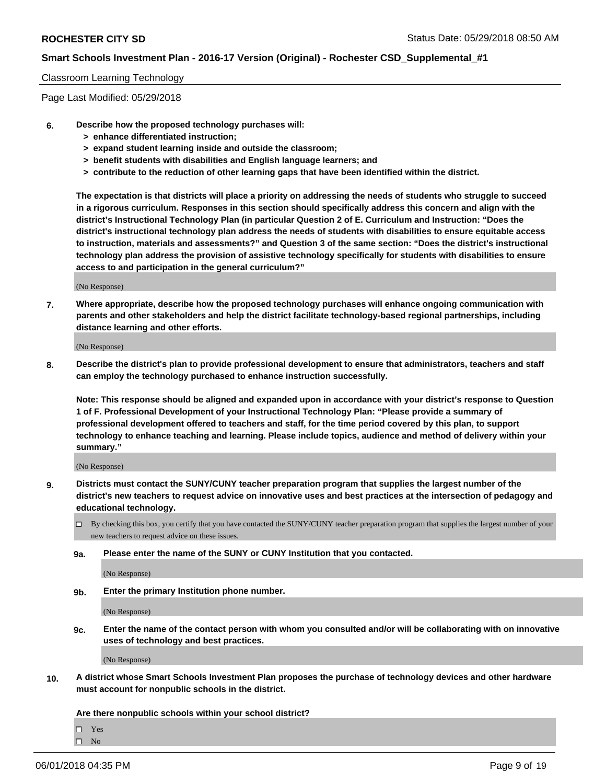#### Classroom Learning Technology

Page Last Modified: 05/29/2018

- **6. Describe how the proposed technology purchases will:**
	- **> enhance differentiated instruction;**
	- **> expand student learning inside and outside the classroom;**
	- **> benefit students with disabilities and English language learners; and**
	- **> contribute to the reduction of other learning gaps that have been identified within the district.**

**The expectation is that districts will place a priority on addressing the needs of students who struggle to succeed in a rigorous curriculum. Responses in this section should specifically address this concern and align with the district's Instructional Technology Plan (in particular Question 2 of E. Curriculum and Instruction: "Does the district's instructional technology plan address the needs of students with disabilities to ensure equitable access to instruction, materials and assessments?" and Question 3 of the same section: "Does the district's instructional technology plan address the provision of assistive technology specifically for students with disabilities to ensure access to and participation in the general curriculum?"**

(No Response)

**7. Where appropriate, describe how the proposed technology purchases will enhance ongoing communication with parents and other stakeholders and help the district facilitate technology-based regional partnerships, including distance learning and other efforts.**

(No Response)

**8. Describe the district's plan to provide professional development to ensure that administrators, teachers and staff can employ the technology purchased to enhance instruction successfully.**

**Note: This response should be aligned and expanded upon in accordance with your district's response to Question 1 of F. Professional Development of your Instructional Technology Plan: "Please provide a summary of professional development offered to teachers and staff, for the time period covered by this plan, to support technology to enhance teaching and learning. Please include topics, audience and method of delivery within your summary."**

(No Response)

- **9. Districts must contact the SUNY/CUNY teacher preparation program that supplies the largest number of the district's new teachers to request advice on innovative uses and best practices at the intersection of pedagogy and educational technology.**
	- $\Box$  By checking this box, you certify that you have contacted the SUNY/CUNY teacher preparation program that supplies the largest number of your new teachers to request advice on these issues.
	- **9a. Please enter the name of the SUNY or CUNY Institution that you contacted.**

(No Response)

**9b. Enter the primary Institution phone number.**

(No Response)

**9c. Enter the name of the contact person with whom you consulted and/or will be collaborating with on innovative uses of technology and best practices.**

(No Response)

**10. A district whose Smart Schools Investment Plan proposes the purchase of technology devices and other hardware must account for nonpublic schools in the district.**

**Are there nonpublic schools within your school district?**

Yes

 $\hfill \square$  No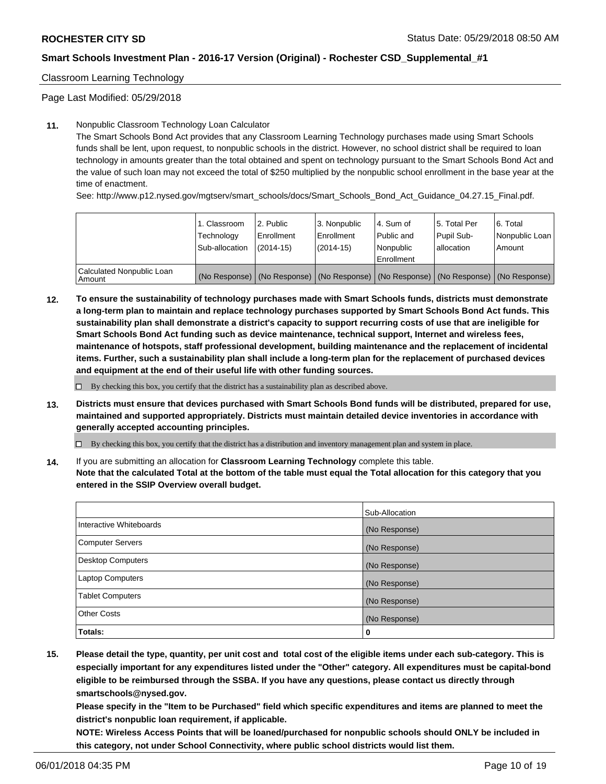Classroom Learning Technology

Page Last Modified: 05/29/2018

#### **11.** Nonpublic Classroom Technology Loan Calculator

The Smart Schools Bond Act provides that any Classroom Learning Technology purchases made using Smart Schools funds shall be lent, upon request, to nonpublic schools in the district. However, no school district shall be required to loan technology in amounts greater than the total obtained and spent on technology pursuant to the Smart Schools Bond Act and the value of such loan may not exceed the total of \$250 multiplied by the nonpublic school enrollment in the base year at the time of enactment.

See: http://www.p12.nysed.gov/mgtserv/smart\_schools/docs/Smart\_Schools\_Bond\_Act\_Guidance\_04.27.15\_Final.pdf.

|                                       | 1. Classroom<br>Technology<br>Sub-allocation | l 2. Public<br>Enrollment<br>$(2014 - 15)$ | l 3. Nonpublic<br>Enrollment<br>(2014-15) | 4. Sum of<br>Public and<br>l Nonpublic<br>Enrollment | l 5. Total Per<br>Pupil Sub-<br>lallocation                                                   | l 6. Total<br>Nonpublic Loan<br>Amount |
|---------------------------------------|----------------------------------------------|--------------------------------------------|-------------------------------------------|------------------------------------------------------|-----------------------------------------------------------------------------------------------|----------------------------------------|
| Calculated Nonpublic Loan<br>l Amount |                                              |                                            |                                           |                                                      | (No Response)   (No Response)   (No Response)   (No Response)   (No Response)   (No Response) |                                        |

**12. To ensure the sustainability of technology purchases made with Smart Schools funds, districts must demonstrate a long-term plan to maintain and replace technology purchases supported by Smart Schools Bond Act funds. This sustainability plan shall demonstrate a district's capacity to support recurring costs of use that are ineligible for Smart Schools Bond Act funding such as device maintenance, technical support, Internet and wireless fees, maintenance of hotspots, staff professional development, building maintenance and the replacement of incidental items. Further, such a sustainability plan shall include a long-term plan for the replacement of purchased devices and equipment at the end of their useful life with other funding sources.**

 $\Box$  By checking this box, you certify that the district has a sustainability plan as described above.

**13. Districts must ensure that devices purchased with Smart Schools Bond funds will be distributed, prepared for use, maintained and supported appropriately. Districts must maintain detailed device inventories in accordance with generally accepted accounting principles.**

By checking this box, you certify that the district has a distribution and inventory management plan and system in place.

**14.** If you are submitting an allocation for **Classroom Learning Technology** complete this table.

**Note that the calculated Total at the bottom of the table must equal the Total allocation for this category that you entered in the SSIP Overview overall budget.**

|                          | Sub-Allocation |
|--------------------------|----------------|
| Interactive Whiteboards  | (No Response)  |
| <b>Computer Servers</b>  | (No Response)  |
| <b>Desktop Computers</b> | (No Response)  |
| <b>Laptop Computers</b>  | (No Response)  |
| <b>Tablet Computers</b>  | (No Response)  |
| <b>Other Costs</b>       | (No Response)  |
| Totals:                  | 0              |

**15. Please detail the type, quantity, per unit cost and total cost of the eligible items under each sub-category. This is especially important for any expenditures listed under the "Other" category. All expenditures must be capital-bond eligible to be reimbursed through the SSBA. If you have any questions, please contact us directly through smartschools@nysed.gov.**

**Please specify in the "Item to be Purchased" field which specific expenditures and items are planned to meet the district's nonpublic loan requirement, if applicable.**

**NOTE: Wireless Access Points that will be loaned/purchased for nonpublic schools should ONLY be included in this category, not under School Connectivity, where public school districts would list them.**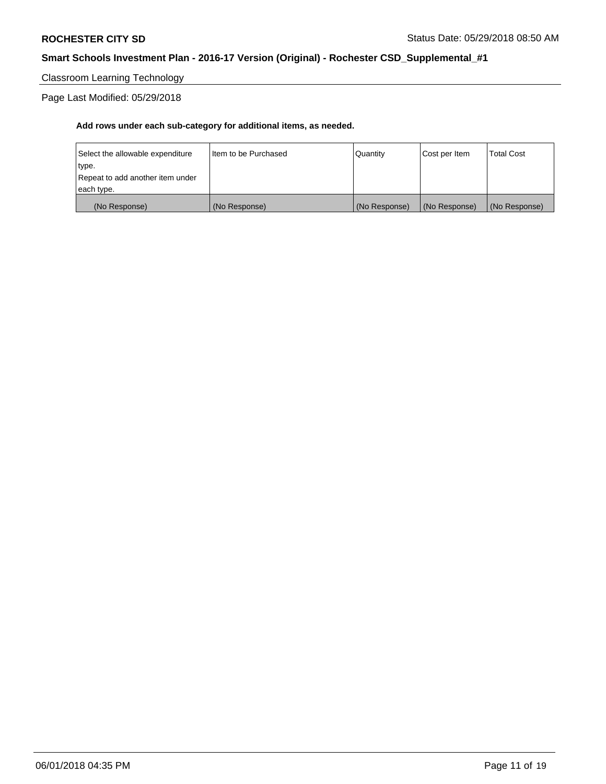Classroom Learning Technology

Page Last Modified: 05/29/2018

| (No Response)                    | (No Response)          | (No Response) | (No Response) | (No Response)     |
|----------------------------------|------------------------|---------------|---------------|-------------------|
| each type.                       |                        |               |               |                   |
| Repeat to add another item under |                        |               |               |                   |
| type.                            |                        |               |               |                   |
| Select the allowable expenditure | I Item to be Purchased | Quantity      | Cost per Item | <b>Total Cost</b> |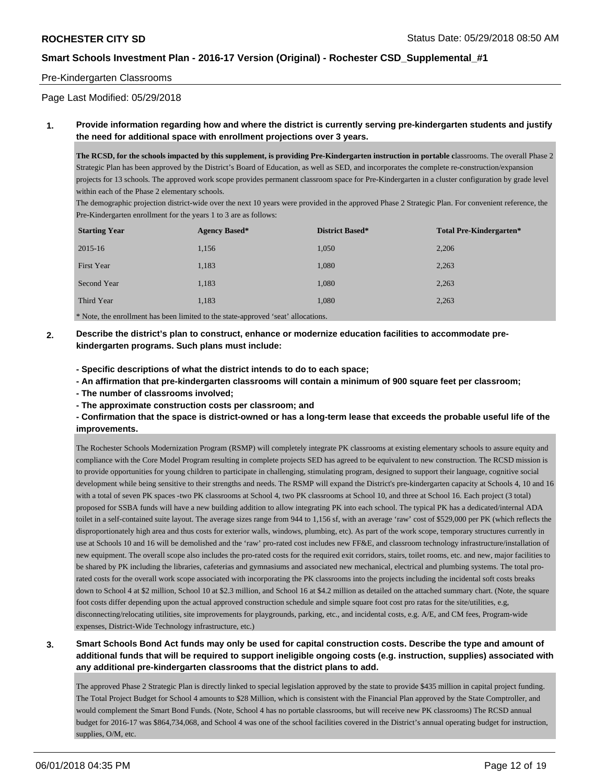#### Pre-Kindergarten Classrooms

Page Last Modified: 05/29/2018

#### **1. Provide information regarding how and where the district is currently serving pre-kindergarten students and justify the need for additional space with enrollment projections over 3 years.**

The RCSD, for the schools impacted by this supplement, is providing Pre-Kindergarten instruction in portable classrooms. The overall Phase 2 Strategic Plan has been approved by the District's Board of Education, as well as SED, and incorporates the complete re-construction/expansion projects for 13 schools. The approved work scope provides permanent classroom space for Pre-Kindergarten in a cluster configuration by grade level within each of the Phase 2 elementary schools.

The demographic projection district-wide over the next 10 years were provided in the approved Phase 2 Strategic Plan. For convenient reference, the Pre-Kindergarten enrollment for the years 1 to 3 are as follows:

| <b>Starting Year</b> | <b>Agency Based*</b> | <b>District Based*</b> | <b>Total Pre-Kindergarten*</b> |  |  |
|----------------------|----------------------|------------------------|--------------------------------|--|--|
| 2015-16              | 1,156                | 1,050                  | 2,206                          |  |  |
| First Year           | 1,183                | 1,080                  | 2,263                          |  |  |
| Second Year          | 1,183                | 1,080                  | 2,263                          |  |  |
| Third Year           | 1,183                | 1,080                  | 2,263                          |  |  |
| .<br>.               |                      |                        |                                |  |  |

\* Note, the enrollment has been limited to the state-approved 'seat' allocations.

- **2. Describe the district's plan to construct, enhance or modernize education facilities to accommodate prekindergarten programs. Such plans must include:**
	- **Specific descriptions of what the district intends to do to each space;**
	- **An affirmation that pre-kindergarten classrooms will contain a minimum of 900 square feet per classroom;**
	- **The number of classrooms involved;**
	- **The approximate construction costs per classroom; and**
	- **Confirmation that the space is district-owned or has a long-term lease that exceeds the probable useful life of the improvements.**

The Rochester Schools Modernization Program (RSMP) will completely integrate PK classrooms at existing elementary schools to assure equity and compliance with the Core Model Program resulting in complete projects SED has agreed to be equivalent to new construction. The RCSD mission is to provide opportunities for young children to participate in challenging, stimulating program, designed to support their language, cognitive social development while being sensitive to their strengths and needs. The RSMP will expand the District's pre-kindergarten capacity at Schools 4, 10 and 16 with a total of seven PK spaces -two PK classrooms at School 4, two PK classrooms at School 10, and three at School 16. Each project (3 total) proposed for SSBA funds will have a new building addition to allow integrating PK into each school. The typical PK has a dedicated/internal ADA toilet in a self-contained suite layout. The average sizes range from 944 to 1,156 sf, with an average 'raw' cost of \$529,000 per PK (which reflects the disproportionately high area and thus costs for exterior walls, windows, plumbing, etc). As part of the work scope, temporary structures currently in use at Schools 10 and 16 will be demolished and the 'raw' pro-rated cost includes new FF&E, and classroom technology infrastructure/installation of new equipment. The overall scope also includes the pro-rated costs for the required exit corridors, stairs, toilet rooms, etc. and new, major facilities to be shared by PK including the libraries, cafeterias and gymnasiums and associated new mechanical, electrical and plumbing systems. The total prorated costs for the overall work scope associated with incorporating the PK classrooms into the projects including the incidental soft costs breaks down to School 4 at \$2 million, School 10 at \$2.3 million, and School 16 at \$4.2 million as detailed on the attached summary chart. (Note, the square foot costs differ depending upon the actual approved construction schedule and simple square foot cost pro ratas for the site/utilities, e.g, disconnecting/relocating utilities, site improvements for playgrounds, parking, etc., and incidental costs, e.g. A/E, and CM fees, Program-wide expenses, District-Wide Technology infrastructure, etc.)

**3. Smart Schools Bond Act funds may only be used for capital construction costs. Describe the type and amount of additional funds that will be required to support ineligible ongoing costs (e.g. instruction, supplies) associated with any additional pre-kindergarten classrooms that the district plans to add.**

The approved Phase 2 Strategic Plan is directly linked to special legislation approved by the state to provide \$435 million in capital project funding. The Total Project Budget for School 4 amounts to \$28 Million, which is consistent with the Financial Plan approved by the State Comptroller, and would complement the Smart Bond Funds. (Note, School 4 has no portable classrooms, but will receive new PK classrooms) The RCSD annual budget for 2016-17 was \$864,734,068, and School 4 was one of the school facilities covered in the District's annual operating budget for instruction, supplies, O/M, etc.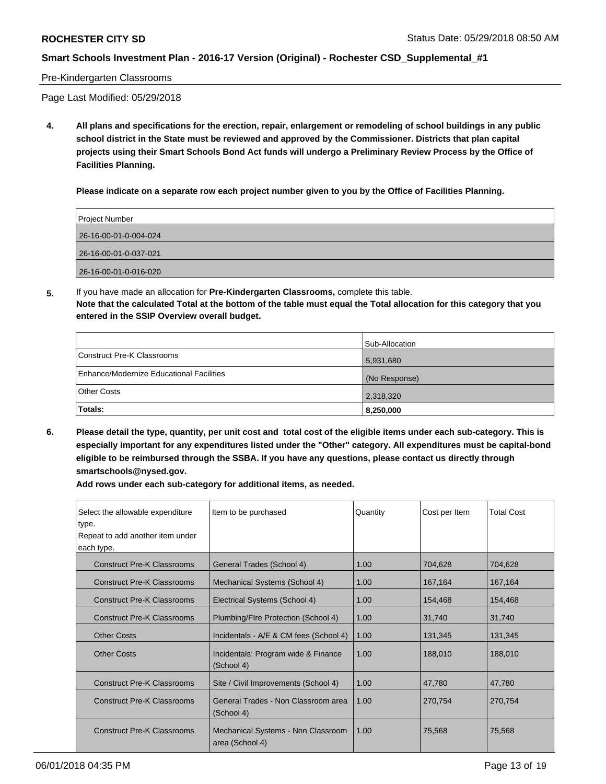#### Pre-Kindergarten Classrooms

Page Last Modified: 05/29/2018

**4. All plans and specifications for the erection, repair, enlargement or remodeling of school buildings in any public school district in the State must be reviewed and approved by the Commissioner. Districts that plan capital projects using their Smart Schools Bond Act funds will undergo a Preliminary Review Process by the Office of Facilities Planning.**

**Please indicate on a separate row each project number given to you by the Office of Facilities Planning.**

| Project Number        |
|-----------------------|
| 26-16-00-01-0-004-024 |
| 26-16-00-01-0-037-021 |
| 26-16-00-01-0-016-020 |

**5.** If you have made an allocation for **Pre-Kindergarten Classrooms,** complete this table.

**Note that the calculated Total at the bottom of the table must equal the Total allocation for this category that you entered in the SSIP Overview overall budget.**

|                                          | Sub-Allocation |
|------------------------------------------|----------------|
| Construct Pre-K Classrooms               | 5,931,680      |
| Enhance/Modernize Educational Facilities | (No Response)  |
| Other Costs                              | 2,318,320      |
| Totals:                                  | 8,250,000      |

**6. Please detail the type, quantity, per unit cost and total cost of the eligible items under each sub-category. This is especially important for any expenditures listed under the "Other" category. All expenditures must be capital-bond eligible to be reimbursed through the SSBA. If you have any questions, please contact us directly through smartschools@nysed.gov.**

| Select the allowable expenditure<br>type.<br>Repeat to add another item under | Item to be purchased                                  | Quantity | Cost per Item | <b>Total Cost</b> |
|-------------------------------------------------------------------------------|-------------------------------------------------------|----------|---------------|-------------------|
| each type.                                                                    |                                                       |          |               |                   |
| <b>Construct Pre-K Classrooms</b>                                             | General Trades (School 4)                             | 1.00     | 704,628       | 704,628           |
| <b>Construct Pre-K Classrooms</b>                                             | Mechanical Systems (School 4)                         | 1.00     | 167,164       | 167,164           |
| <b>Construct Pre-K Classrooms</b>                                             | Electrical Systems (School 4)                         | 1.00     | 154,468       | 154,468           |
| <b>Construct Pre-K Classrooms</b>                                             | Plumbing/Flre Protection (School 4)                   | 1.00     | 31,740        | 31,740            |
| <b>Other Costs</b>                                                            | Incidentals - A/E & CM fees (School 4)                | 1.00     | 131,345       | 131,345           |
| <b>Other Costs</b>                                                            | Incidentals: Program wide & Finance<br>(School 4)     | 1.00     | 188,010       | 188,010           |
| <b>Construct Pre-K Classrooms</b>                                             | Site / Civil Improvements (School 4)                  | 1.00     | 47,780        | 47,780            |
| <b>Construct Pre-K Classrooms</b>                                             | General Trades - Non Classroom area<br>(School 4)     | 1.00     | 270,754       | 270,754           |
| <b>Construct Pre-K Classrooms</b>                                             | Mechanical Systems - Non Classroom<br>area (School 4) | 1.00     | 75,568        | 75,568            |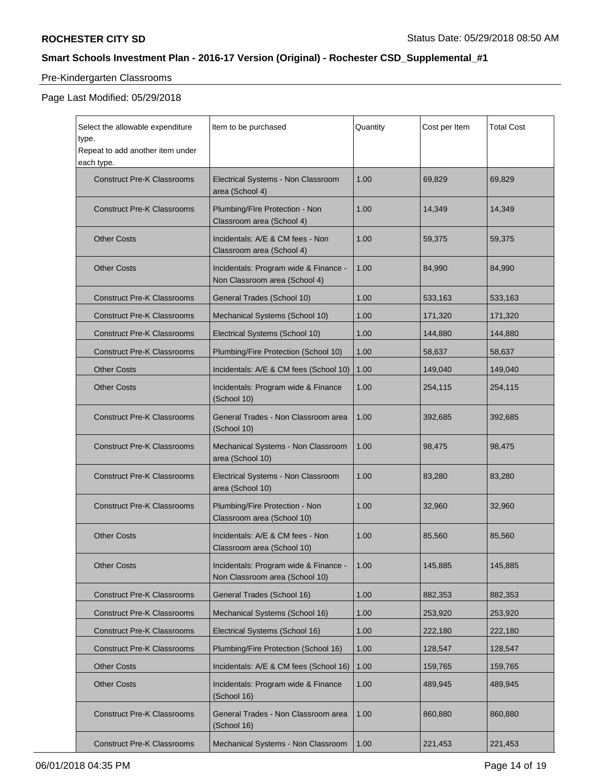# Pre-Kindergarten Classrooms

| Select the allowable expenditure<br>type.<br>Repeat to add another item under | Item to be purchased                                                    | Quantity | Cost per Item | <b>Total Cost</b> |
|-------------------------------------------------------------------------------|-------------------------------------------------------------------------|----------|---------------|-------------------|
| each type.<br><b>Construct Pre-K Classrooms</b>                               | Electrical Systems - Non Classroom<br>area (School 4)                   | 1.00     | 69,829        | 69,829            |
| <b>Construct Pre-K Classrooms</b>                                             | Plumbing/FIre Protection - Non<br>Classroom area (School 4)             | 1.00     | 14,349        | 14,349            |
| <b>Other Costs</b>                                                            | Incidentals: A/E & CM fees - Non<br>Classroom area (School 4)           | 1.00     | 59,375        | 59,375            |
| <b>Other Costs</b>                                                            | Incidentals: Program wide & Finance -<br>Non Classroom area (School 4)  | 1.00     | 84,990        | 84,990            |
| <b>Construct Pre-K Classrooms</b>                                             | General Trades (School 10)                                              | 1.00     | 533,163       | 533,163           |
| <b>Construct Pre-K Classrooms</b>                                             | Mechanical Systems (School 10)                                          | 1.00     | 171,320       | 171,320           |
| <b>Construct Pre-K Classrooms</b>                                             | Electrical Systems (School 10)                                          | 1.00     | 144,880       | 144,880           |
| <b>Construct Pre-K Classrooms</b>                                             | Plumbing/Fire Protection (School 10)                                    | 1.00     | 58,637        | 58,637            |
| <b>Other Costs</b>                                                            | Incidentals: A/E & CM fees (School 10)                                  | 1.00     | 149,040       | 149,040           |
| <b>Other Costs</b>                                                            | Incidentals: Program wide & Finance<br>(School 10)                      | 1.00     | 254,115       | 254,115           |
| <b>Construct Pre-K Classrooms</b>                                             | General Trades - Non Classroom area<br>(School 10)                      | 1.00     | 392,685       | 392,685           |
| <b>Construct Pre-K Classrooms</b>                                             | Mechanical Systems - Non Classroom<br>area (School 10)                  | 1.00     | 98,475        | 98,475            |
| <b>Construct Pre-K Classrooms</b>                                             | Electrical Systems - Non Classroom<br>area (School 10)                  | 1.00     | 83,280        | 83,280            |
| <b>Construct Pre-K Classrooms</b>                                             | Plumbing/Fire Protection - Non<br>Classroom area (School 10)            | 1.00     | 32,960        | 32,960            |
| <b>Other Costs</b>                                                            | Incidentals: A/E & CM fees - Non<br>Classroom area (School 10)          | 1.00     | 85,560        | 85,560            |
| <b>Other Costs</b>                                                            | Incidentals: Program wide & Finance -<br>Non Classroom area (School 10) | 1.00     | 145,885       | 145,885           |
| <b>Construct Pre-K Classrooms</b>                                             | General Trades (School 16)                                              | 1.00     | 882,353       | 882,353           |
| <b>Construct Pre-K Classrooms</b>                                             | Mechanical Systems (School 16)                                          | 1.00     | 253,920       | 253.920           |
| <b>Construct Pre-K Classrooms</b>                                             | Electrical Systems (School 16)                                          | 1.00     | 222,180       | 222,180           |
| <b>Construct Pre-K Classrooms</b>                                             | Plumbing/Fire Protection (School 16)                                    | 1.00     | 128,547       | 128,547           |
| <b>Other Costs</b>                                                            | Incidentals: A/E & CM fees (School 16)                                  | 1.00     | 159,765       | 159,765           |
| <b>Other Costs</b>                                                            | Incidentals: Program wide & Finance<br>(School 16)                      | 1.00     | 489,945       | 489,945           |
| <b>Construct Pre-K Classrooms</b>                                             | General Trades - Non Classroom area<br>(School 16)                      | 1.00     | 860,880       | 860,880           |
| <b>Construct Pre-K Classrooms</b>                                             | Mechanical Systems - Non Classroom                                      | 1.00     | 221,453       | 221,453           |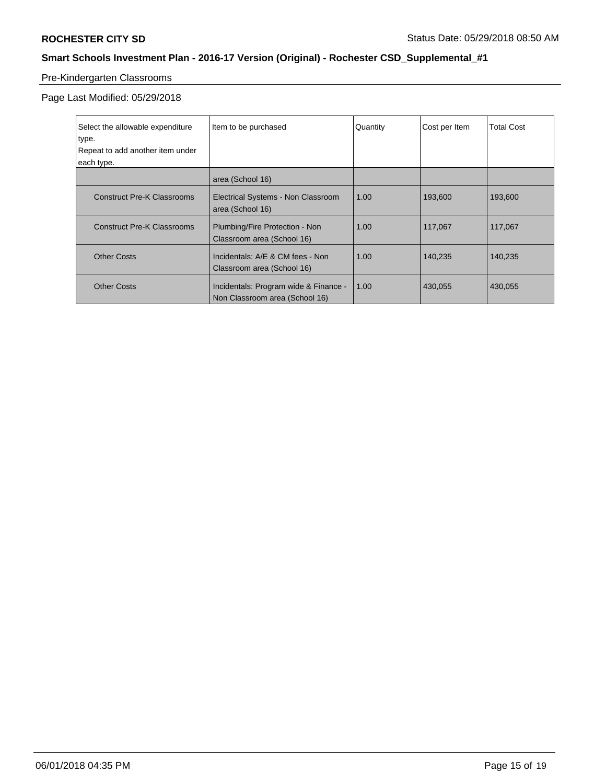# Pre-Kindergarten Classrooms

| Select the allowable expenditure<br>type.<br>Repeat to add another item under<br>each type. | Item to be purchased                                                    | Quantity | Cost per Item | <b>Total Cost</b> |
|---------------------------------------------------------------------------------------------|-------------------------------------------------------------------------|----------|---------------|-------------------|
|                                                                                             | area (School 16)                                                        |          |               |                   |
| <b>Construct Pre-K Classrooms</b>                                                           | Electrical Systems - Non Classroom<br>area (School 16)                  | 1.00     | 193,600       | 193,600           |
| <b>Construct Pre-K Classrooms</b>                                                           | Plumbing/Fire Protection - Non<br>Classroom area (School 16)            | 1.00     | 117,067       | 117,067           |
| <b>Other Costs</b>                                                                          | Incidentals: A/E & CM fees - Non<br>Classroom area (School 16)          | 1.00     | 140.235       | 140.235           |
| <b>Other Costs</b>                                                                          | Incidentals: Program wide & Finance -<br>Non Classroom area (School 16) | 1.00     | 430,055       | 430,055           |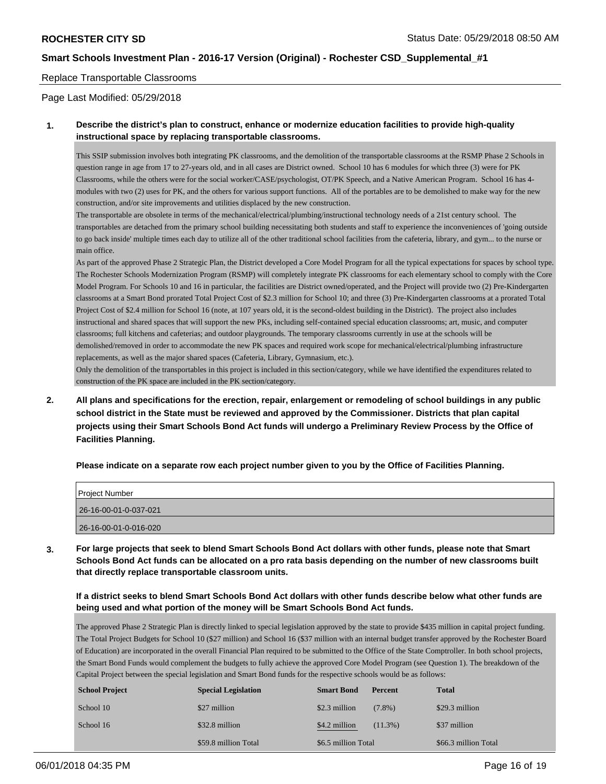#### Replace Transportable Classrooms

Page Last Modified: 05/29/2018

### **1. Describe the district's plan to construct, enhance or modernize education facilities to provide high-quality instructional space by replacing transportable classrooms.**

This SSIP submission involves both integrating PK classrooms, and the demolition of the transportable classrooms at the RSMP Phase 2 Schools in question range in age from 17 to 27-years old, and in all cases are District owned. School 10 has 6 modules for which three (3) were for PK Classrooms, while the others were for the social worker/CASE/psychologist, OT/PK Speech, and a Native American Program. School 16 has 4 modules with two (2) uses for PK, and the others for various support functions. All of the portables are to be demolished to make way for the new construction, and/or site improvements and utilities displaced by the new construction.

The transportable are obsolete in terms of the mechanical/electrical/plumbing/instructional technology needs of a 21st century school. The transportables are detached from the primary school building necessitating both students and staff to experience the inconveniences of 'going outside to go back inside' multiple times each day to utilize all of the other traditional school facilities from the cafeteria, library, and gym... to the nurse or main office.

As part of the approved Phase 2 Strategic Plan, the District developed a Core Model Program for all the typical expectations for spaces by school type. The Rochester Schools Modernization Program (RSMP) will completely integrate PK classrooms for each elementary school to comply with the Core Model Program. For Schools 10 and 16 in particular, the facilities are District owned/operated, and the Project will provide two (2) Pre-Kindergarten classrooms at a Smart Bond prorated Total Project Cost of \$2.3 million for School 10; and three (3) Pre-Kindergarten classrooms at a prorated Total Project Cost of \$2.4 million for School 16 (note, at 107 years old, it is the second-oldest building in the District). The project also includes instructional and shared spaces that will support the new PKs, including self-contained special education classrooms; art, music, and computer classrooms; full kitchens and cafeterias; and outdoor playgrounds. The temporary classrooms currently in use at the schools will be demolished/removed in order to accommodate the new PK spaces and required work scope for mechanical/electrical/plumbing infrastructure replacements, as well as the major shared spaces (Cafeteria, Library, Gymnasium, etc.).

Only the demolition of the transportables in this project is included in this section/category, while we have identified the expenditures related to construction of the PK space are included in the PK section/category.

**2. All plans and specifications for the erection, repair, enlargement or remodeling of school buildings in any public school district in the State must be reviewed and approved by the Commissioner. Districts that plan capital projects using their Smart Schools Bond Act funds will undergo a Preliminary Review Process by the Office of Facilities Planning.**

**Please indicate on a separate row each project number given to you by the Office of Facilities Planning.**

| Project Number        |  |
|-----------------------|--|
| 26-16-00-01-0-037-021 |  |
| 26-16-00-01-0-016-020 |  |

**3. For large projects that seek to blend Smart Schools Bond Act dollars with other funds, please note that Smart Schools Bond Act funds can be allocated on a pro rata basis depending on the number of new classrooms built that directly replace transportable classroom units.**

**If a district seeks to blend Smart Schools Bond Act dollars with other funds describe below what other funds are being used and what portion of the money will be Smart Schools Bond Act funds.**

The approved Phase 2 Strategic Plan is directly linked to special legislation approved by the state to provide \$435 million in capital project funding. The Total Project Budgets for School 10 (\$27 million) and School 16 (\$37 million with an internal budget transfer approved by the Rochester Board of Education) are incorporated in the overall Financial Plan required to be submitted to the Office of the State Comptroller. In both school projects, the Smart Bond Funds would complement the budgets to fully achieve the approved Core Model Program (see Question 1). The breakdown of the Capital Project between the special legislation and Smart Bond funds for the respective schools would be as follows:

| <b>School Project</b> | <b>Special Legislation</b> | <b>Smart Bond</b>   | <b>Percent</b> | <b>Total</b>         |
|-----------------------|----------------------------|---------------------|----------------|----------------------|
| School 10             | \$27 million               | \$2.3 million       | $(7.8\%)$      | \$29.3 million       |
| School 16             | \$32.8 million             | \$4.2 million       | $(11.3\%)$     | \$37 million         |
|                       | \$59.8 million Total       | \$6.5 million Total |                | \$66.3 million Total |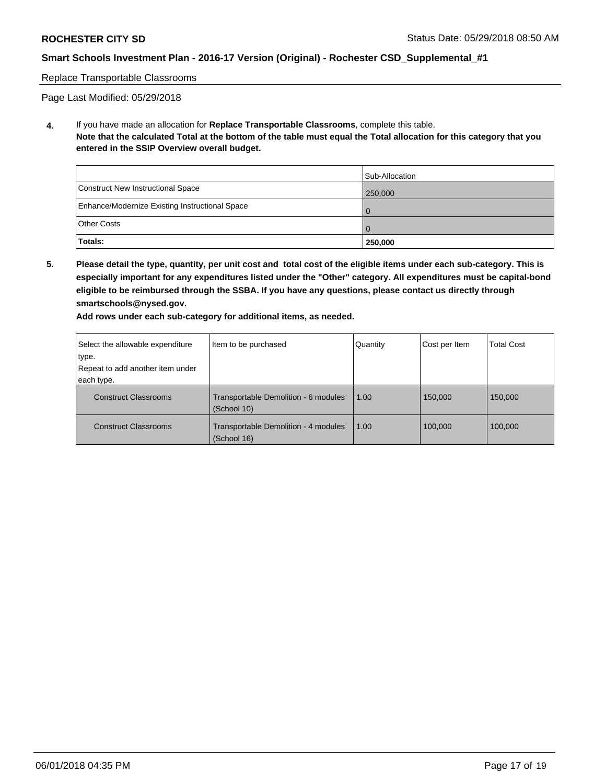#### Replace Transportable Classrooms

Page Last Modified: 05/29/2018

**4.** If you have made an allocation for **Replace Transportable Classrooms**, complete this table. **Note that the calculated Total at the bottom of the table must equal the Total allocation for this category that you entered in the SSIP Overview overall budget.**

|                                                | Sub-Allocation |
|------------------------------------------------|----------------|
| Construct New Instructional Space              | 250,000        |
| Enhance/Modernize Existing Instructional Space |                |
| <b>Other Costs</b>                             |                |
| Totals:                                        | 250,000        |

**5. Please detail the type, quantity, per unit cost and total cost of the eligible items under each sub-category. This is especially important for any expenditures listed under the "Other" category. All expenditures must be capital-bond eligible to be reimbursed through the SSBA. If you have any questions, please contact us directly through smartschools@nysed.gov.**

| Select the allowable expenditure | Item to be purchased                                | Quantity | Cost per Item | <b>Total Cost</b> |
|----------------------------------|-----------------------------------------------------|----------|---------------|-------------------|
| type.                            |                                                     |          |               |                   |
| Repeat to add another item under |                                                     |          |               |                   |
| each type.                       |                                                     |          |               |                   |
| <b>Construct Classrooms</b>      | Transportable Demolition - 6 modules<br>(School 10) | 1.00     | 150,000       | 150,000           |
| <b>Construct Classrooms</b>      | Transportable Demolition - 4 modules<br>(School 16) | 1.00     | 100.000       | 100.000           |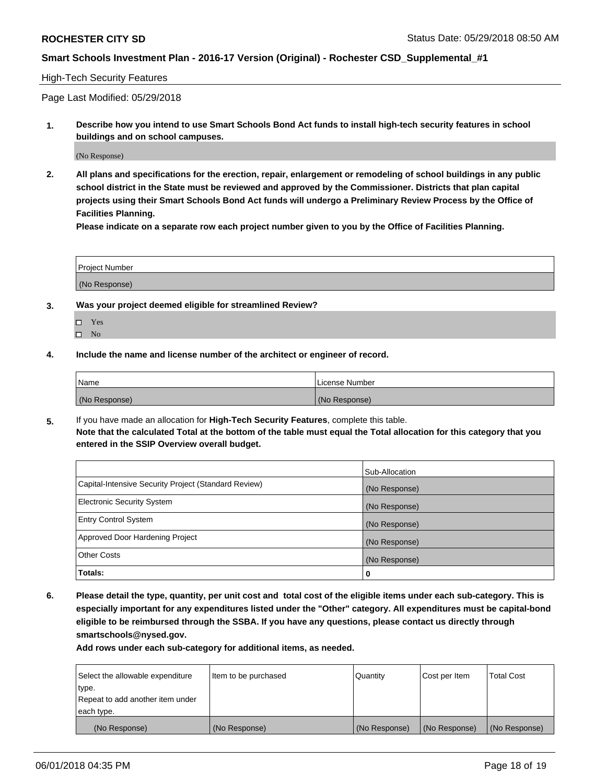#### High-Tech Security Features

Page Last Modified: 05/29/2018

**1. Describe how you intend to use Smart Schools Bond Act funds to install high-tech security features in school buildings and on school campuses.**

(No Response)

**2. All plans and specifications for the erection, repair, enlargement or remodeling of school buildings in any public school district in the State must be reviewed and approved by the Commissioner. Districts that plan capital projects using their Smart Schools Bond Act funds will undergo a Preliminary Review Process by the Office of Facilities Planning.** 

**Please indicate on a separate row each project number given to you by the Office of Facilities Planning.**

| <b>Project Number</b> |  |  |  |
|-----------------------|--|--|--|
|                       |  |  |  |
| (No Response)         |  |  |  |

- **3. Was your project deemed eligible for streamlined Review?**
	- Yes  $\square$  No
- **4. Include the name and license number of the architect or engineer of record.**

| l Name        | License Number |
|---------------|----------------|
| (No Response) | (No Response)  |

**5.** If you have made an allocation for **High-Tech Security Features**, complete this table. **Note that the calculated Total at the bottom of the table must equal the Total allocation for this category that you entered in the SSIP Overview overall budget.**

|                                                      | Sub-Allocation |
|------------------------------------------------------|----------------|
| Capital-Intensive Security Project (Standard Review) | (No Response)  |
| <b>Electronic Security System</b>                    | (No Response)  |
| <b>Entry Control System</b>                          | (No Response)  |
| Approved Door Hardening Project                      | (No Response)  |
| <b>Other Costs</b>                                   | (No Response)  |
| Totals:                                              | 0              |

**6. Please detail the type, quantity, per unit cost and total cost of the eligible items under each sub-category. This is especially important for any expenditures listed under the "Other" category. All expenditures must be capital-bond eligible to be reimbursed through the SSBA. If you have any questions, please contact us directly through smartschools@nysed.gov.**

| Select the allowable expenditure | Item to be purchased | Quantity      | Cost per Item | <b>Total Cost</b> |
|----------------------------------|----------------------|---------------|---------------|-------------------|
| type.                            |                      |               |               |                   |
| Repeat to add another item under |                      |               |               |                   |
| each type.                       |                      |               |               |                   |
| (No Response)                    | (No Response)        | (No Response) | (No Response) | (No Response)     |